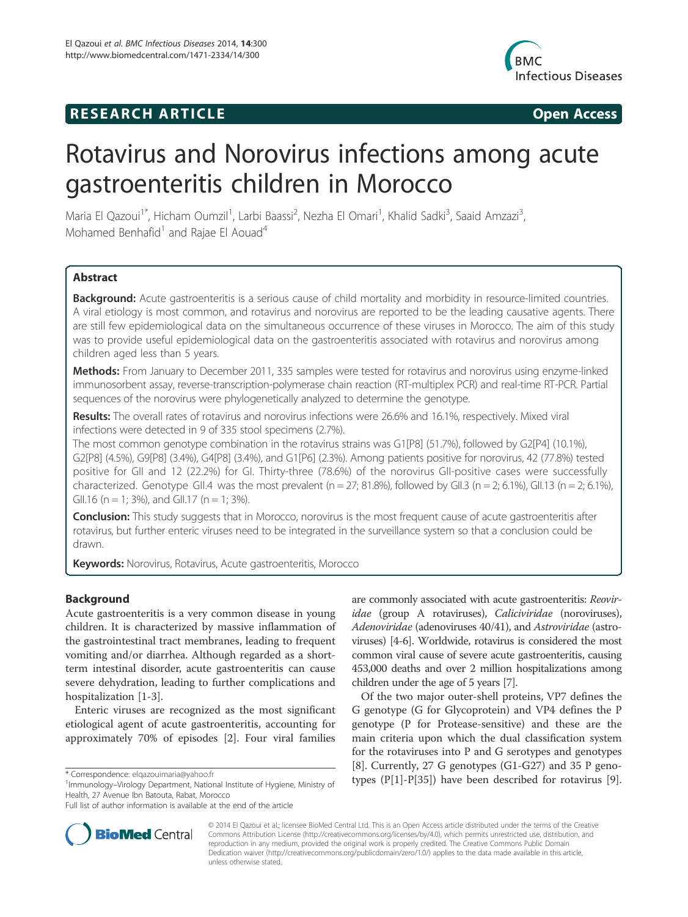# **RESEARCH ARTICLE Example 2014 CONSIDERING CONSIDERING CONSIDERING CONSIDERING CONSIDERING CONSIDERING CONSIDERING CONSIDERING CONSIDERING CONSIDERING CONSIDERING CONSIDERING CONSIDERING CONSIDERING CONSIDERING CONSIDE**



# Rotavirus and Norovirus infections among acute gastroenteritis children in Morocco

Maria El Qazoui<sup>1\*</sup>, Hicham Oumzil<sup>1</sup>, Larbi Baassi<sup>2</sup>, Nezha El Omari<sup>1</sup>, Khalid Sadki<sup>3</sup>, Saaid Amzazi<sup>3</sup> , Mohamed Benhafid<sup>1</sup> and Rajae El Aouad<sup>4</sup>

# **Abstract**

Background: Acute gastroenteritis is a serious cause of child mortality and morbidity in resource-limited countries. A viral etiology is most common, and rotavirus and norovirus are reported to be the leading causative agents. There are still few epidemiological data on the simultaneous occurrence of these viruses in Morocco. The aim of this study was to provide useful epidemiological data on the gastroenteritis associated with rotavirus and norovirus among children aged less than 5 years.

Methods: From January to December 2011, 335 samples were tested for rotavirus and norovirus using enzyme-linked immunosorbent assay, reverse-transcription-polymerase chain reaction (RT-multiplex PCR) and real-time RT-PCR. Partial sequences of the norovirus were phylogenetically analyzed to determine the genotype.

Results: The overall rates of rotavirus and norovirus infections were 26.6% and 16.1%, respectively. Mixed viral infections were detected in 9 of 335 stool specimens (2.7%).

The most common genotype combination in the rotavirus strains was G1[P8] (51.7%), followed by G2[P4] (10.1%), G2[P8] (4.5%), G9[P8] (3.4%), G4[P8] (3.4%), and G1[P6] (2.3%). Among patients positive for norovirus, 42 (77.8%) tested positive for GII and 12 (22.2%) for GI. Thirty-three (78.6%) of the norovirus GII-positive cases were successfully characterized. Genotype GII.4 was the most prevalent (n = 27; 81.8%), followed by GII.3 (n = 2; 6.1%), GII.13 (n = 2; 6.1%), GII.16 (n = 1; 3%), and GII.17 (n = 1; 3%).

**Conclusion:** This study suggests that in Morocco, norovirus is the most frequent cause of acute gastroenteritis after rotavirus, but further enteric viruses need to be integrated in the surveillance system so that a conclusion could be drawn.

Keywords: Norovirus, Rotavirus, Acute gastroenteritis, Morocco

# Background

Acute gastroenteritis is a very common disease in young children. It is characterized by massive inflammation of the gastrointestinal tract membranes, leading to frequent vomiting and/or diarrhea. Although regarded as a shortterm intestinal disorder, acute gastroenteritis can cause severe dehydration, leading to further complications and hospitalization [1-3].

Enteric viruses are recognized as the most significant etiological agent of acute gastroenteritis, accounting for approximately 70% of episodes [2]. Four viral families

<sup>1</sup>Immunology-Virology Department, National Institute of Hygiene, Ministry of Health, 27 Avenue Ibn Batouta, Rabat, Morocco



Of the two major outer-shell proteins, VP7 defines the G genotype (G for Glycoprotein) and VP4 defines the P genotype (P for Protease-sensitive) and these are the main criteria upon which the dual classification system for the rotaviruses into P and G serotypes and genotypes [8]. Currently, 27 G genotypes (G1-G27) and 35 P geno-\* Correspondence: elgazouimaria@yahoo.fr<br><sup>1</sup>Immunology-Virology Department National Institute of Hygiene Ministry of types (P[1]-P[35]) have been described for rotavirus [9].



© 2014 El Qazoui et al.; licensee BioMed Central Ltd. This is an Open Access article distributed under the terms of the Creative Commons Attribution License (http://creativecommons.org/licenses/by/4.0), which permits unrestricted use, distribution, and reproduction in any medium, provided the original work is properly credited. The Creative Commons Public Domain Dedication waiver (http://creativecommons.org/publicdomain/zero/1.0/) applies to the data made available in this article, unless otherwise stated.

Full list of author information is available at the end of the article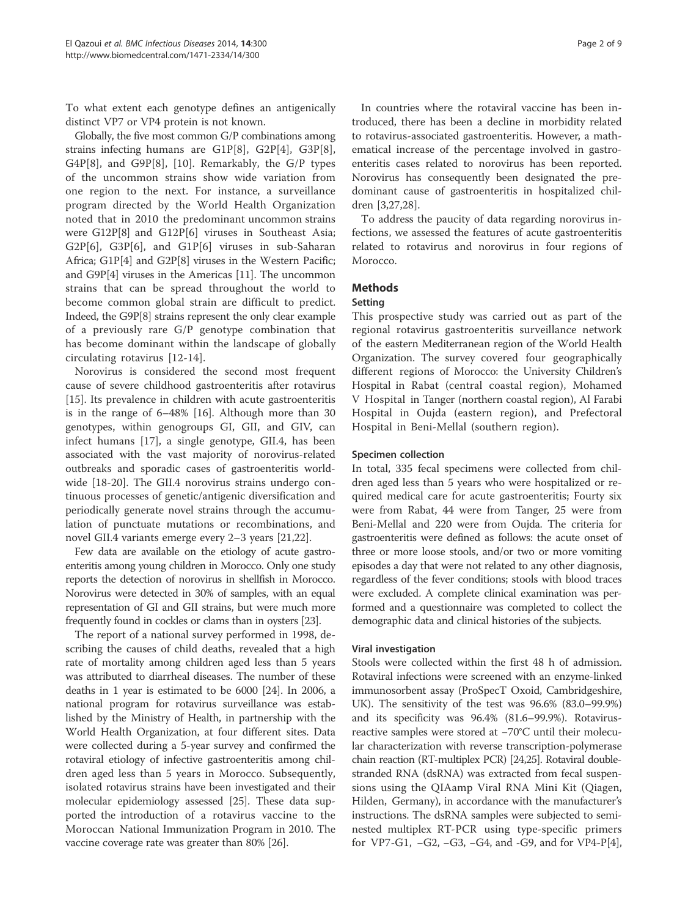To what extent each genotype defines an antigenically distinct VP7 or VP4 protein is not known.

Globally, the five most common G/P combinations among strains infecting humans are G1P[8], G2P[4], G3P[8], G4P[8], and G9P[8], [10]. Remarkably, the G/P types of the uncommon strains show wide variation from one region to the next. For instance, a surveillance program directed by the World Health Organization noted that in 2010 the predominant uncommon strains were G12P[8] and G12P[6] viruses in Southeast Asia; G2P[6], G3P[6], and G1P[6] viruses in sub-Saharan Africa; G1P[4] and G2P[8] viruses in the Western Pacific; and G9P[4] viruses in the Americas [11]. The uncommon strains that can be spread throughout the world to become common global strain are difficult to predict. Indeed, the G9P[8] strains represent the only clear example of a previously rare G/P genotype combination that has become dominant within the landscape of globally circulating rotavirus [12-14].

Norovirus is considered the second most frequent cause of severe childhood gastroenteritis after rotavirus [15]. Its prevalence in children with acute gastroenteritis is in the range of 6–48% [16]. Although more than 30 genotypes, within genogroups GI, GII, and GIV, can infect humans [17], a single genotype, GII.4, has been associated with the vast majority of norovirus-related outbreaks and sporadic cases of gastroenteritis worldwide [18-20]. The GII.4 norovirus strains undergo continuous processes of genetic/antigenic diversification and periodically generate novel strains through the accumulation of punctuate mutations or recombinations, and novel GII.4 variants emerge every 2–3 years [21,22].

Few data are available on the etiology of acute gastroenteritis among young children in Morocco. Only one study reports the detection of norovirus in shellfish in Morocco. Norovirus were detected in 30% of samples, with an equal representation of GI and GII strains, but were much more frequently found in cockles or clams than in oysters [23].

The report of a national survey performed in 1998, describing the causes of child deaths, revealed that a high rate of mortality among children aged less than 5 years was attributed to diarrheal diseases. The number of these deaths in 1 year is estimated to be 6000 [24]. In 2006, a national program for rotavirus surveillance was established by the Ministry of Health, in partnership with the World Health Organization, at four different sites. Data were collected during a 5-year survey and confirmed the rotaviral etiology of infective gastroenteritis among children aged less than 5 years in Morocco. Subsequently, isolated rotavirus strains have been investigated and their molecular epidemiology assessed [25]. These data supported the introduction of a rotavirus vaccine to the Moroccan National Immunization Program in 2010. The vaccine coverage rate was greater than 80% [26].

In countries where the rotaviral vaccine has been introduced, there has been a decline in morbidity related to rotavirus-associated gastroenteritis. However, a mathematical increase of the percentage involved in gastroenteritis cases related to norovirus has been reported. Norovirus has consequently been designated the predominant cause of gastroenteritis in hospitalized children [3,27,28].

To address the paucity of data regarding norovirus infections, we assessed the features of acute gastroenteritis related to rotavirus and norovirus in four regions of Morocco.

# **Methods**

# Setting

This prospective study was carried out as part of the regional rotavirus gastroenteritis surveillance network of the eastern Mediterranean region of the World Health Organization. The survey covered four geographically different regions of Morocco: the University Children's Hospital in Rabat (central coastal region), Mohamed V Hospital in Tanger (northern coastal region), Al Farabi Hospital in Oujda (eastern region), and Prefectoral Hospital in Beni-Mellal (southern region).

#### Specimen collection

In total, 335 fecal specimens were collected from children aged less than 5 years who were hospitalized or required medical care for acute gastroenteritis; Fourty six were from Rabat, 44 were from Tanger, 25 were from Beni-Mellal and 220 were from Oujda. The criteria for gastroenteritis were defined as follows: the acute onset of three or more loose stools, and/or two or more vomiting episodes a day that were not related to any other diagnosis, regardless of the fever conditions; stools with blood traces were excluded. A complete clinical examination was performed and a questionnaire was completed to collect the demographic data and clinical histories of the subjects.

#### Viral investigation

Stools were collected within the first 48 h of admission. Rotaviral infections were screened with an enzyme-linked immunosorbent assay (ProSpecT Oxoid, Cambridgeshire, UK). The sensitivity of the test was 96.6% (83.0–99.9%) and its specificity was 96.4% (81.6–99.9%). Rotavirusreactive samples were stored at −70°C until their molecular characterization with reverse transcription-polymerase chain reaction (RT-multiplex PCR) [24,25]. Rotaviral doublestranded RNA (dsRNA) was extracted from fecal suspensions using the QIAamp Viral RNA Mini Kit (Qiagen, Hilden, Germany), in accordance with the manufacturer's instructions. The dsRNA samples were subjected to seminested multiplex RT-PCR using type-specific primers for VP7-G1, −G2, −G3, −G4, and -G9, and for VP4-P[4],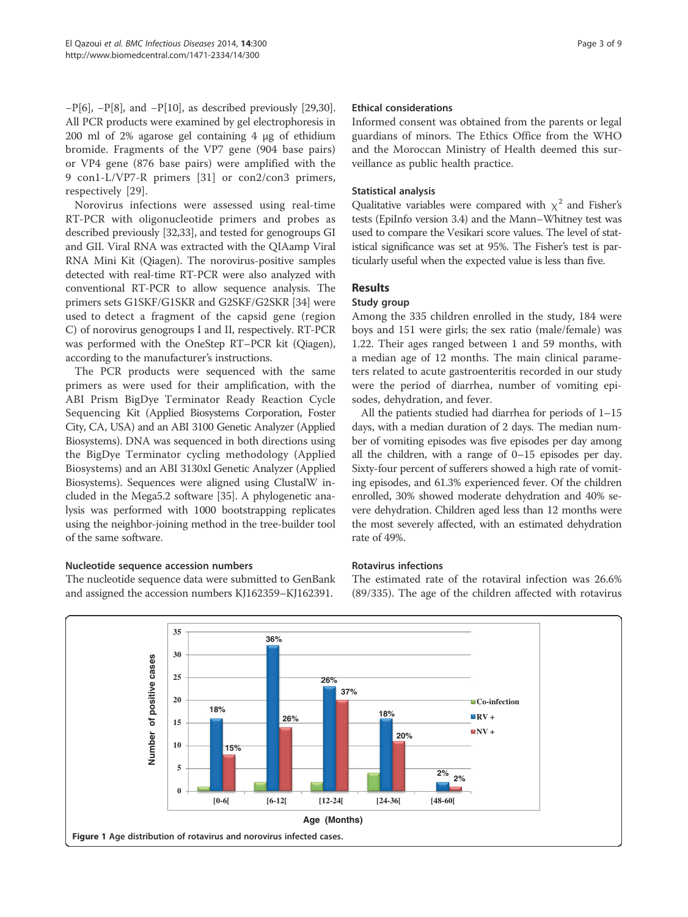−P[6], −P[8], and −P[10], as described previously [29,30]. All PCR products were examined by gel electrophoresis in 200 ml of 2% agarose gel containing 4 μg of ethidium bromide. Fragments of the VP7 gene (904 base pairs) or VP4 gene (876 base pairs) were amplified with the 9 con1-L/VP7-R primers [31] or con2/con3 primers, respectively [29].

Norovirus infections were assessed using real-time RT-PCR with oligonucleotide primers and probes as described previously [32,33], and tested for genogroups GI and GII. Viral RNA was extracted with the QIAamp Viral RNA Mini Kit (Qiagen). The norovirus-positive samples detected with real-time RT-PCR were also analyzed with conventional RT-PCR to allow sequence analysis. The primers sets G1SKF/G1SKR and G2SKF/G2SKR [34] were used to detect a fragment of the capsid gene (region C) of norovirus genogroups I and II, respectively. RT-PCR was performed with the OneStep RT–PCR kit (Qiagen), according to the manufacturer's instructions.

The PCR products were sequenced with the same primers as were used for their amplification, with the ABI Prism BigDye Terminator Ready Reaction Cycle Sequencing Kit (Applied Biosystems Corporation, Foster City, CA, USA) and an ABI 3100 Genetic Analyzer (Applied Biosystems). DNA was sequenced in both directions using the BigDye Terminator cycling methodology (Applied Biosystems) and an ABI 3130xl Genetic Analyzer (Applied Biosystems). Sequences were aligned using ClustalW included in the Mega5.2 software [35]. A phylogenetic analysis was performed with 1000 bootstrapping replicates using the neighbor-joining method in the tree-builder tool of the same software.

# Nucleotide sequence accession numbers

The nucleotide sequence data were submitted to GenBank and assigned the accession numbers KJ162359–KJ162391.

#### Ethical considerations

Informed consent was obtained from the parents or legal guardians of minors. The Ethics Office from the WHO and the Moroccan Ministry of Health deemed this surveillance as public health practice.

#### Statistical analysis

Qualitative variables were compared with  $\chi^2$  and Fisher's tests (EpiInfo version 3.4) and the Mann–Whitney test was used to compare the Vesikari score values. The level of statistical significance was set at 95%. The Fisher's test is particularly useful when the expected value is less than five.

# Results

#### Study group

Among the 335 children enrolled in the study, 184 were boys and 151 were girls; the sex ratio (male/female) was 1.22. Their ages ranged between 1 and 59 months, with a median age of 12 months. The main clinical parameters related to acute gastroenteritis recorded in our study were the period of diarrhea, number of vomiting episodes, dehydration, and fever.

All the patients studied had diarrhea for periods of 1–15 days, with a median duration of 2 days. The median number of vomiting episodes was five episodes per day among all the children, with a range of 0–15 episodes per day. Sixty-four percent of sufferers showed a high rate of vomiting episodes, and 61.3% experienced fever. Of the children enrolled, 30% showed moderate dehydration and 40% severe dehydration. Children aged less than 12 months were the most severely affected, with an estimated dehydration rate of 49%.

### Rotavirus infections

The estimated rate of the rotaviral infection was 26.6% (89/335). The age of the children affected with rotavirus

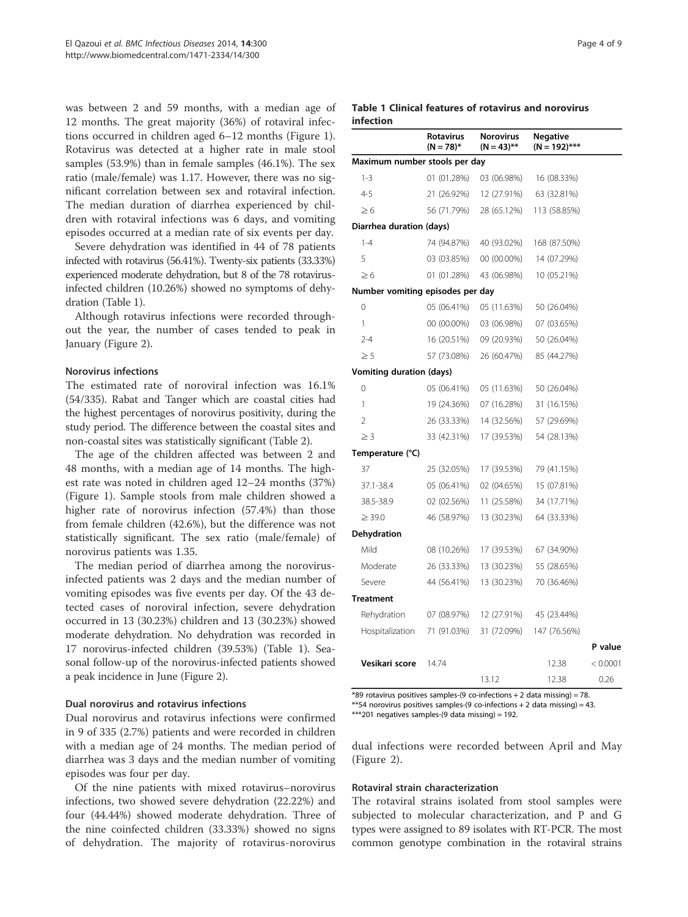was between 2 and 59 months, with a median age of 12 months. The great majority (36%) of rotaviral infections occurred in children aged 6–12 months (Figure 1). Rotavirus was detected at a higher rate in male stool samples (53.9%) than in female samples (46.1%). The sex ratio (male/female) was 1.17. However, there was no significant correlation between sex and rotaviral infection. The median duration of diarrhea experienced by children with rotaviral infections was 6 days, and vomiting episodes occurred at a median rate of six events per day.

Severe dehydration was identified in 44 of 78 patients infected with rotavirus (56.41%). Twenty-six patients (33.33%) experienced moderate dehydration, but 8 of the 78 rotavirusinfected children (10.26%) showed no symptoms of dehydration (Table 1).

Although rotavirus infections were recorded throughout the year, the number of cases tended to peak in January (Figure 2).

#### Norovirus infections

The estimated rate of noroviral infection was 16.1% (54/335). Rabat and Tanger which are coastal cities had the highest percentages of norovirus positivity, during the study period. The difference between the coastal sites and non-coastal sites was statistically significant (Table 2).

The age of the children affected was between 2 and 48 months, with a median age of 14 months. The highest rate was noted in children aged 12–24 months (37%) (Figure 1). Sample stools from male children showed a higher rate of norovirus infection (57.4%) than those from female children (42.6%), but the difference was not statistically significant. The sex ratio (male/female) of norovirus patients was 1.35.

The median period of diarrhea among the norovirusinfected patients was 2 days and the median number of vomiting episodes was five events per day. Of the 43 detected cases of noroviral infection, severe dehydration occurred in 13 (30.23%) children and 13 (30.23%) showed moderate dehydration. No dehydration was recorded in 17 norovirus-infected children (39.53%) (Table 1). Seasonal follow-up of the norovirus-infected patients showed a peak incidence in June (Figure 2).

#### Dual norovirus and rotavirus infections

Dual norovirus and rotavirus infections were confirmed in 9 of 335 (2.7%) patients and were recorded in children with a median age of 24 months. The median period of diarrhea was 3 days and the median number of vomiting episodes was four per day.

Of the nine patients with mixed rotavirus–norovirus infections, two showed severe dehydration (22.22%) and four (44.44%) showed moderate dehydration. Three of the nine coinfected children (33.33%) showed no signs of dehydration. The majority of rotavirus-norovirus

#### Table 1 Clinical features of rotavirus and norovirus infection

|                                  | <b>Rotavirus</b><br>$(N = 78)^*$ | <b>Norovirus</b><br>$(N = 43)$ ** | Negative<br>$(N = 192)$ *** |          |
|----------------------------------|----------------------------------|-----------------------------------|-----------------------------|----------|
| Maximum number stools per day    |                                  |                                   |                             |          |
| $1 - 3$                          | 01 (01.28%)                      | 03 (06.98%)                       | 16 (08.33%)                 |          |
| $4 - 5$                          | 21 (26.92%)                      | 12 (27.91%)                       | 63 (32.81%)                 |          |
| $\geq 6$                         | 56 (71.79%)                      | 28 (65.12%)                       | 113 (58.85%)                |          |
| Diarrhea duration (days)         |                                  |                                   |                             |          |
| $1 - 4$                          | 74 (94.87%)                      | 40 (93.02%)                       | 168 (87.50%)                |          |
| 5                                | 03 (03.85%)                      | 00 (00.00%)                       | 14 (07.29%)                 |          |
| $\geq 6$                         | 01 (01.28%)                      | 43 (06.98%)                       | 10 (05.21%)                 |          |
| Number vomiting episodes per day |                                  |                                   |                             |          |
| 0                                | 05 (06.41%)                      | 05 (11.63%)                       | 50 (26.04%)                 |          |
| 1                                | 00 (00.00%)                      | 03 (06.98%)                       | 07 (03.65%)                 |          |
| $2 - 4$                          | 16 (20.51%)                      | 09 (20.93%)                       | 50 (26.04%)                 |          |
| $\geq 5$                         | 57 (73.08%)                      | 26 (60.47%)                       | 85 (44.27%)                 |          |
| <b>Vomiting duration (days)</b>  |                                  |                                   |                             |          |
| 0                                | 05 (06.41%)                      | 05 (11.63%)                       | 50 (26.04%)                 |          |
| 1                                | 19 (24.36%)                      | 07 (16.28%)                       | 31 (16.15%)                 |          |
| $\overline{2}$                   | 26 (33.33%)                      | 14 (32.56%)                       | 57 (29.69%)                 |          |
| $\geq$ 3                         | 33 (42.31%)                      | 17 (39.53%)                       | 54 (28.13%)                 |          |
| Temperature (°C)                 |                                  |                                   |                             |          |
| 37                               | 25 (32.05%)                      | 17 (39.53%)                       | 79 (41.15%)                 |          |
| 37.1-38.4                        | 05 (06.41%)                      | 02 (04.65%)                       | 15 (07.81%)                 |          |
| 38.5-38.9                        | 02 (02.56%)                      | 11 (25.58%)                       | 34 (17.71%)                 |          |
| $\geq$ 39.0                      | 46 (58.97%)                      | 13 (30.23%)                       | 64 (33.33%)                 |          |
| <b>Dehydration</b>               |                                  |                                   |                             |          |
| Mild                             | 08 (10.26%)                      | 17 (39.53%)                       | 67 (34.90%)                 |          |
| Moderate                         | 26 (33.33%)                      | 13 (30.23%)                       | 55 (28.65%)                 |          |
| Severe                           | 44 (56.41%)                      | 13 (30.23%)                       | 70 (36.46%)                 |          |
| <b>Treatment</b>                 |                                  |                                   |                             |          |
| Rehydration                      | 07 (08.97%)                      | 12 (27.91%)                       | 45 (23.44%)                 |          |
| Hospitalization                  | 71 (91.03%)                      | 31 (72.09%)                       | 147 (76.56%)                |          |
|                                  |                                  |                                   |                             | P value  |
| Vesikari score                   | 14.74                            |                                   | 12.38                       | < 0.0001 |
|                                  |                                  | 13.12                             | 12.38                       | 0.26     |

\*89 rotavirus positives samples-(9 co-infections + 2 data missing) = 78. \*\*54 norovirus positives samples-(9 co-infections  $+ 2$  data missing) = 43.

\*\*\*201 negatives samples-(9 data missing) = 192.

dual infections were recorded between April and May (Figure 2).

#### Rotaviral strain characterization

The rotaviral strains isolated from stool samples were subjected to molecular characterization, and P and G types were assigned to 89 isolates with RT-PCR. The most common genotype combination in the rotaviral strains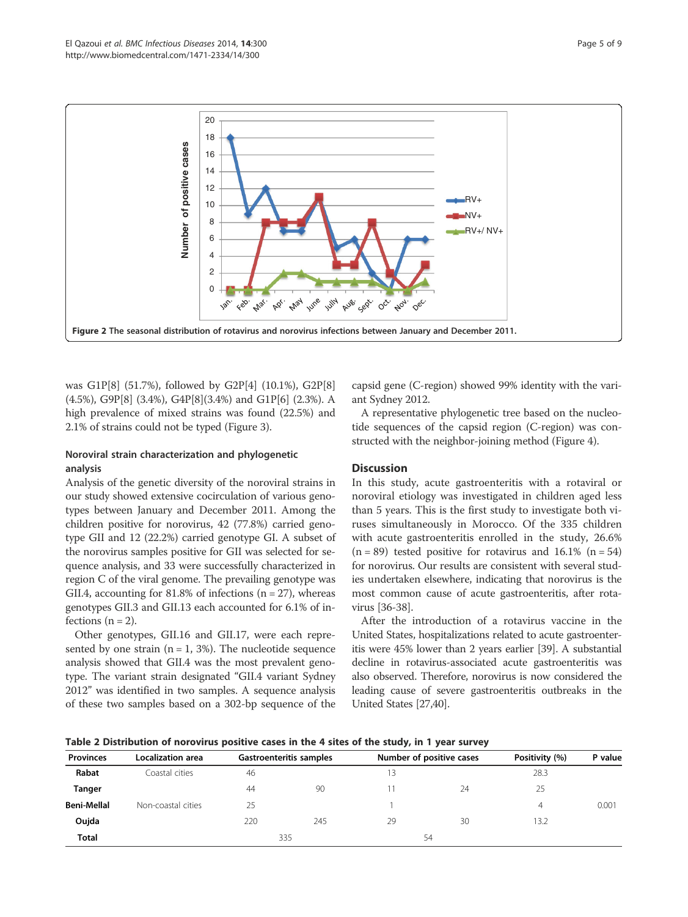

was G1P[8] (51.7%), followed by G2P[4] (10.1%), G2P[8] (4.5%), G9P[8] (3.4%), G4P[8](3.4%) and G1P[6] (2.3%). A high prevalence of mixed strains was found (22.5%) and 2.1% of strains could not be typed (Figure 3).

# Noroviral strain characterization and phylogenetic analysis

Analysis of the genetic diversity of the noroviral strains in our study showed extensive cocirculation of various genotypes between January and December 2011. Among the children positive for norovirus, 42 (77.8%) carried genotype GII and 12 (22.2%) carried genotype GI. A subset of the norovirus samples positive for GII was selected for sequence analysis, and 33 were successfully characterized in region C of the viral genome. The prevailing genotype was GII.4, accounting for 81.8% of infections ( $n = 27$ ), whereas genotypes GII.3 and GII.13 each accounted for 6.1% of infections  $(n = 2)$ .

Other genotypes, GII.16 and GII.17, were each represented by one strain ( $n = 1$ , 3%). The nucleotide sequence analysis showed that GII.4 was the most prevalent genotype. The variant strain designated "GII.4 variant Sydney 2012" was identified in two samples. A sequence analysis of these two samples based on a 302-bp sequence of the capsid gene (C-region) showed 99% identity with the variant Sydney 2012.

A representative phylogenetic tree based on the nucleotide sequences of the capsid region (C-region) was constructed with the neighbor-joining method (Figure 4).

# **Discussion**

In this study, acute gastroenteritis with a rotaviral or noroviral etiology was investigated in children aged less than 5 years. This is the first study to investigate both viruses simultaneously in Morocco. Of the 335 children with acute gastroenteritis enrolled in the study, 26.6%  $(n = 89)$  tested positive for rotavirus and 16.1%  $(n = 54)$ for norovirus. Our results are consistent with several studies undertaken elsewhere, indicating that norovirus is the most common cause of acute gastroenteritis, after rotavirus [36-38].

After the introduction of a rotavirus vaccine in the United States, hospitalizations related to acute gastroenteritis were 45% lower than 2 years earlier [39]. A substantial decline in rotavirus-associated acute gastroenteritis was also observed. Therefore, norovirus is now considered the leading cause of severe gastroenteritis outbreaks in the United States [27,40].

| Table 2 Distribution of norovirus positive cases in the 4 sites of the study, in 1 year survey |  |  |  |  |  |
|------------------------------------------------------------------------------------------------|--|--|--|--|--|
|------------------------------------------------------------------------------------------------|--|--|--|--|--|

| <b>Localization area</b> | Gastroenteritis samples |     | Number of positive cases |    | Positivity (%) | P value |
|--------------------------|-------------------------|-----|--------------------------|----|----------------|---------|
| Rabat<br>Coastal cities  | 46                      |     | 13                       |    | 28.3           |         |
|                          | 44                      | 90  |                          | 24 | 25             |         |
| Non-coastal cities       | 25                      |     |                          |    | 4              | 0.001   |
|                          | 220                     | 245 | 29                       | 30 | 13.2           |         |
|                          |                         |     |                          |    |                |         |
|                          |                         |     | 335                      |    | 54             |         |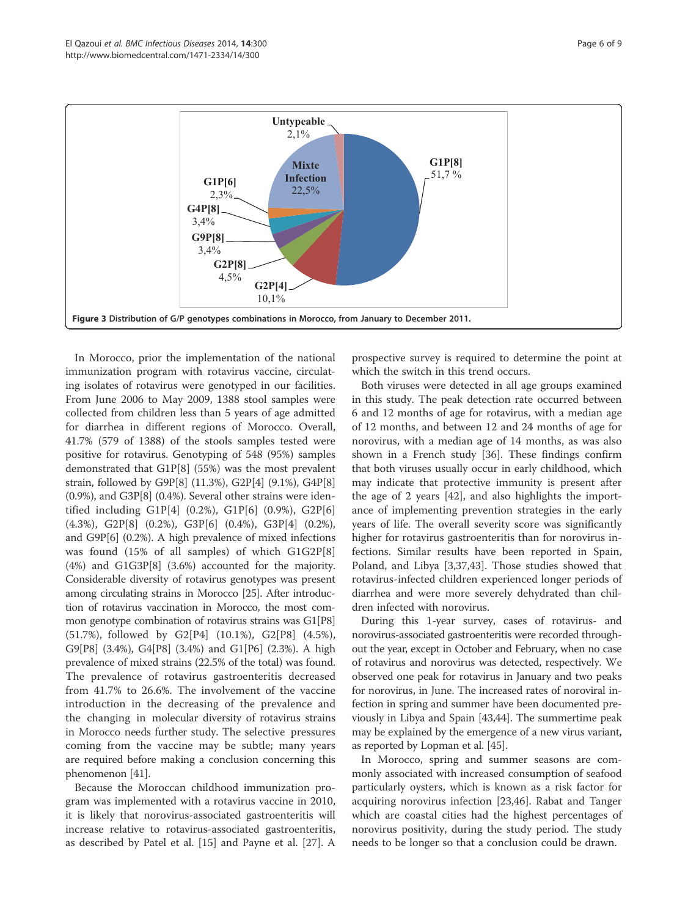

In Morocco, prior the implementation of the national immunization program with rotavirus vaccine, circulating isolates of rotavirus were genotyped in our facilities. From June 2006 to May 2009, 1388 stool samples were collected from children less than 5 years of age admitted for diarrhea in different regions of Morocco. Overall, 41.7% (579 of 1388) of the stools samples tested were positive for rotavirus. Genotyping of 548 (95%) samples demonstrated that G1P[8] (55%) was the most prevalent strain, followed by G9P[8] (11.3%), G2P[4] (9.1%), G4P[8] (0.9%), and G3P[8] (0.4%). Several other strains were identified including G1P[4] (0.2%), G1P[6] (0.9%), G2P[6] (4.3%), G2P[8] (0.2%), G3P[6] (0.4%), G3P[4] (0.2%), and G9P[6] (0.2%). A high prevalence of mixed infections was found (15% of all samples) of which G1G2P[8] (4%) and G1G3P[8] (3.6%) accounted for the majority. Considerable diversity of rotavirus genotypes was present among circulating strains in Morocco [25]. After introduction of rotavirus vaccination in Morocco, the most common genotype combination of rotavirus strains was G1[P8] (51.7%), followed by G2[P4] (10.1%), G2[P8] (4.5%), G9[P8] (3.4%), G4[P8] (3.4%) and G1[P6] (2.3%). A high prevalence of mixed strains (22.5% of the total) was found. The prevalence of rotavirus gastroenteritis decreased from 41.7% to 26.6%. The involvement of the vaccine introduction in the decreasing of the prevalence and the changing in molecular diversity of rotavirus strains in Morocco needs further study. The selective pressures coming from the vaccine may be subtle; many years are required before making a conclusion concerning this phenomenon [41].

Because the Moroccan childhood immunization program was implemented with a rotavirus vaccine in 2010, it is likely that norovirus-associated gastroenteritis will increase relative to rotavirus-associated gastroenteritis, as described by Patel et al. [15] and Payne et al. [27]. A

prospective survey is required to determine the point at which the switch in this trend occurs.

Both viruses were detected in all age groups examined in this study. The peak detection rate occurred between 6 and 12 months of age for rotavirus, with a median age of 12 months, and between 12 and 24 months of age for norovirus, with a median age of 14 months, as was also shown in a French study [36]. These findings confirm that both viruses usually occur in early childhood, which may indicate that protective immunity is present after the age of 2 years [42], and also highlights the importance of implementing prevention strategies in the early years of life. The overall severity score was significantly higher for rotavirus gastroenteritis than for norovirus infections. Similar results have been reported in Spain, Poland, and Libya [3,37,43]. Those studies showed that rotavirus-infected children experienced longer periods of diarrhea and were more severely dehydrated than children infected with norovirus.

During this 1-year survey, cases of rotavirus- and norovirus-associated gastroenteritis were recorded throughout the year, except in October and February, when no case of rotavirus and norovirus was detected, respectively. We observed one peak for rotavirus in January and two peaks for norovirus, in June. The increased rates of noroviral infection in spring and summer have been documented previously in Libya and Spain [43,44]. The summertime peak may be explained by the emergence of a new virus variant, as reported by Lopman et al. [45].

In Morocco, spring and summer seasons are commonly associated with increased consumption of seafood particularly oysters, which is known as a risk factor for acquiring norovirus infection [23,46]. Rabat and Tanger which are coastal cities had the highest percentages of norovirus positivity, during the study period. The study needs to be longer so that a conclusion could be drawn.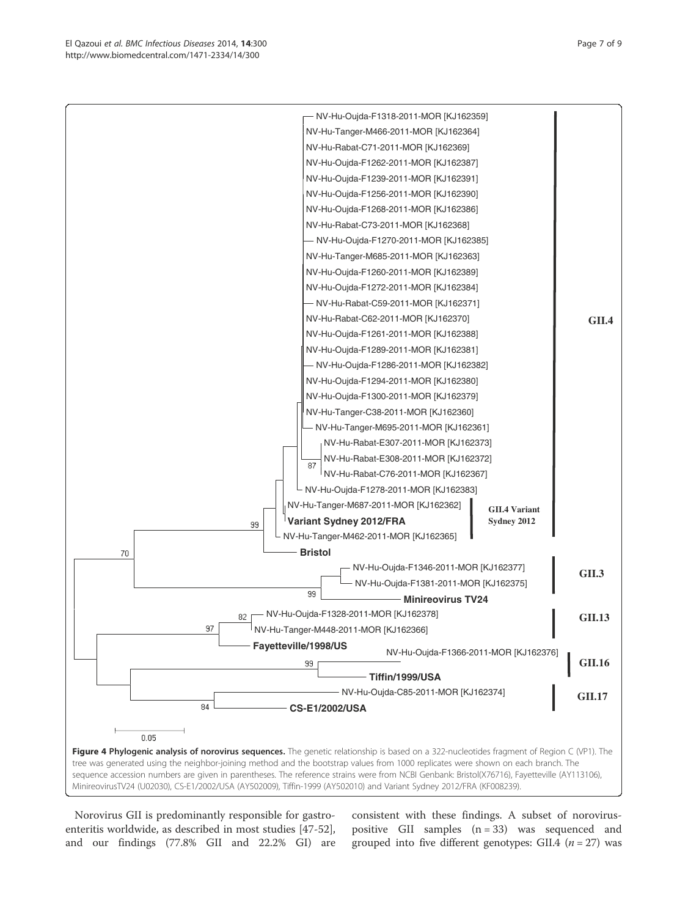Norovirus GII is predominantly responsible for gastroenteritis worldwide, as described in most studies [47-52], and our findings (77.8% GII and 22.2% GI) are consistent with these findings. A subset of noroviruspositive GII samples  $(n = 33)$  was sequenced and grouped into five different genotypes: GII.4 ( $n = 27$ ) was

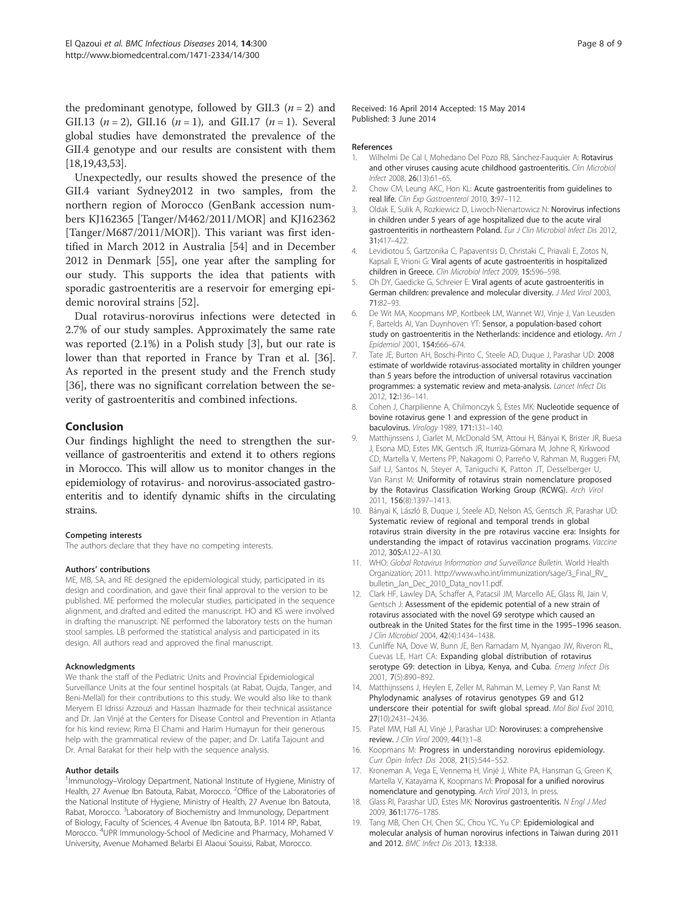the predominant genotype, followed by GII.3 ( $n = 2$ ) and GII.13 ( $n = 2$ ), GII.16 ( $n = 1$ ), and GII.17 ( $n = 1$ ). Several global studies have demonstrated the prevalence of the GII.4 genotype and our results are consistent with them [18,19,43,53].

Unexpectedly, our results showed the presence of the GII.4 variant Sydney2012 in two samples, from the northern region of Morocco (GenBank accession numbers KJ162365 [Tanger/M462/2011/MOR] and KJ162362 [Tanger/M687/2011/MOR]). This variant was first identified in March 2012 in Australia [54] and in December 2012 in Denmark [55], one year after the sampling for our study. This supports the idea that patients with sporadic gastroenteritis are a reservoir for emerging epidemic noroviral strains [52].

Dual rotavirus-norovirus infections were detected in 2.7% of our study samples. Approximately the same rate was reported (2.1%) in a Polish study [3], but our rate is lower than that reported in France by Tran et al. [36]. As reported in the present study and the French study [36], there was no significant correlation between the severity of gastroenteritis and combined infections.

#### Conclusion

Our findings highlight the need to strengthen the surveillance of gastroenteritis and extend it to others regions in Morocco. This will allow us to monitor changes in the epidemiology of rotavirus- and norovirus-associated gastroenteritis and to identify dynamic shifts in the circulating strains.

#### Competing interests

The authors declare that they have no competing interests.

#### Authors' contributions

ME, MB, SA, and RE designed the epidemiological study, participated in its design and coordination, and gave their final approval to the version to be published. ME performed the molecular studies, participated in the sequence alignment, and drafted and edited the manuscript. HO and KS were involved in drafting the manuscript. NE performed the laboratory tests on the human stool samples. LB performed the statistical analysis and participated in its design. All authors read and approved the final manuscript.

#### Acknowledgments

We thank the staff of the Pediatric Units and Provincial Epidemiological Surveillance Units at the four sentinel hospitals (at Rabat, Oujda, Tanger, and Beni-Mellal) for their contributions to this study. We would also like to thank Meryem El Idrissi Azzouzi and Hassan Ihazmade for their technical assistance and Dr. Jan Vinjé at the Centers for Disease Control and Prevention in Atlanta for his kind review; Rima El Chami and Harim Humayun for their generous help with the grammatical review of the paper; and Dr. Latifa Tajount and Dr. Amal Barakat for their help with the sequence analysis.

#### Author details

<sup>1</sup>Immunology-Virology Department, National Institute of Hygiene, Ministry of Health, 27 Avenue Ibn Batouta, Rabat, Morocco. <sup>2</sup>Office of the Laboratories of the National Institute of Hygiene, Ministry of Health, 27 Avenue Ibn Batouta, Rabat, Morocco. <sup>3</sup>Laboratory of Biochemistry and Immunology, Department of Biology, Faculty of Sciences, 4 Avenue Ibn Batouta, B.P. 1014 RP, Rabat, Morocco. <sup>4</sup>UPR Immunology-School of Medicine and Pharmacy, Mohamed V University, Avenue Mohamed Belarbi El Alaoui Souissi, Rabat, Morocco.

#### References

- 1. Wilhelmi De Cal I, Mohedano Del Pozo RB, Sánchez-Fauquier A: Rotavirus and other viruses causing acute childhood gastroenteritis. Clin Microbiol Infect 2008, 26(13):61–65.
- 2. Chow CM, Leung AKC, Hon KL: Acute gastroenteritis from guidelines to real life. Clin Exp Gastroenterol 2010, 3:97–112.
- 3. Oldak E, Sulik A, Rozkiewicz D, Liwoch-Nienartowicz N: Norovirus infections in children under 5 years of age hospitalized due to the acute viral gastroenteritis in northeastern Poland. Eur J Clin Microbiol Infect Dis 2012, 31:417–422.
- 4. Levidiotou S, Gartzonika C, Papaventsis D, Christaki C, Priavali E, Zotos N, Kapsali E, Vrioni G: Viral agents of acute gastroenteritis in hospitalized children in Greece. Clin Microbiol Infect 2009, 15:596–598.
- 5. Oh DY, Gaedicke G, Schreier E: Viral agents of acute gastroenteritis in German children: prevalence and molecular diversity. J Med Virol 2003, 71:82–93.
- 6. De Wit MA, Koopmans MP, Kortbeek LM, Wannet WJ, Vinje J, Van Leusden F, Bartelds AI, Van Duynhoven YT: Sensor, a population-based cohort study on gastroenteritis in the Netherlands: incidence and etiology. Am J Epidemiol 2001, 154:666–674.
- 7. Tate JE, Burton AH, Boschi-Pinto C, Steele AD, Duque J, Parashar UD: 2008 estimate of worldwide rotavirus-associated mortality in children younger than 5 years before the introduction of universal rotavirus vaccination programmes: a systematic review and meta-analysis. Lancet Infect Dis 2012, 12:136–141.
- 8. Cohen J, Charpilienne A, Chilmonczyk S, Estes MK: Nucleotide sequence of bovine rotavirus gene 1 and expression of the gene product in baculovirus. Virology 1989, 171:131–140.
- 9. Matthijnssens J, Ciarlet M, McDonald SM, Attoui H, Bányai K, Brister JR, Buesa J, Esona MD, Estes MK, Gentsch JR, Iturriza-Gómara M, Johne R, Kirkwood CD, Martella V, Mertens PP, Nakagomi O, Parreño V, Rahman M, Ruggeri FM, Saif LJ, Santos N, Steyer A, Taniguchi K, Patton JT, Desselberger U, Van Ranst M: Uniformity of rotavirus strain nomenclature proposed by the Rotavirus Classification Working Group (RCWG). Arch Virol 2011, 156(8):1397–1413.
- 10. Bányai K, László B, Duque J, Steele AD, Nelson AS, Gentsch JR, Parashar UD: Systematic review of regional and temporal trends in global rotavirus strain diversity in the pre rotavirus vaccine era: Insights for understanding the impact of rotavirus vaccination programs. Vaccine 2012, 30S:A122–A130.
- 11. WHO: Global Rotavirus Information and Surveillance Bulletin. World Health Organization; 2011. http://www.who.int/immunization/sage/3\_Final\_RV\_ bulletin\_Jan\_Dec\_2010\_Data\_nov11.pdf.
- 12. Clark HF, Lawley DA, Schaffer A, Patacsil JM, Marcello AE, Glass RI, Jain V, Gentsch J: Assessment of the epidemic potential of a new strain of rotavirus associated with the novel G9 serotype which caused an outbreak in the United States for the first time in the 1995–1996 season. J Clin Microbiol 2004, 42(4):1434–1438.
- 13. Cunliffe NA, Dove W, Bunn JE, Ben Ramadam M, Nyangao JW, Riveron RL, Cuevas LE, Hart CA: Expanding global distribution of rotavirus serotype G9: detection in Libya, Kenya, and Cuba. Emerg Infect Dis 2001, 7(5):890–892.
- 14. Matthijnssens J, Heylen E, Zeller M, Rahman M, Lemey P, Van Ranst M: Phylodynamic analyses of rotavirus genotypes G9 and G12 underscore their potential for swift global spread. Mol Biol Evol 2010, 27(10):2431–2436.
- 15. Patel MM, Hall AJ, Vinjé J, Parashar UD: Noroviruses: a comprehensive review. J Clin Virol 2009, 44(1):1–8.
- 16. Koopmans M: Progress in understanding norovirus epidemiology. Curr Opin Infect Dis 2008, 21(5):544–552.
- 17. Kroneman A, Vega E, Vennema H, Vinjé J, White PA, Hansman G, Green K, Martella V, Katayama K, Koopmans M: Proposal for a unified norovirus nomenclature and genotyping. Arch Virol 2013, In press.
- 18. Glass RI, Parashar UD, Estes MK: Norovirus gastroenteritis. N Engl J Med 2009, 361:1776–1785.
- 19. Tang MB, Chen CH, Chen SC, Chou YC, Yu CP: Epidemiological and molecular analysis of human norovirus infections in Taiwan during 2011 and 2012. BMC Infect Dis 2013, 13:338.